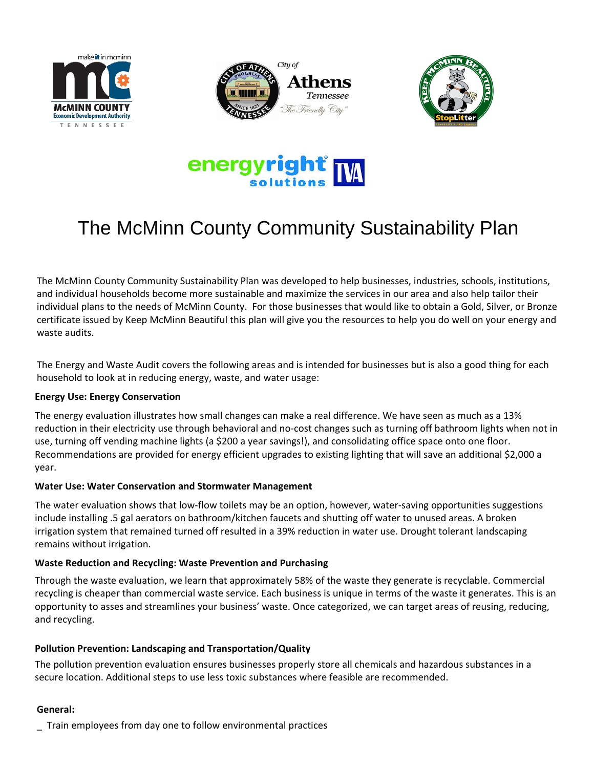







# The McMinn County Community Sustainability Plan

The McMinn County Community Sustainability Plan was developed to help businesses, industries, schools, institutions, and individual households become more sustainable and maximize the services in our area and also help tailor their individual plans to the needs of McMinn County. For those businesses that would like to obtain a Gold, Silver, or Bronze certificate issued by Keep McMinn Beautiful this plan will give you the resources to help you do well on your energy and waste audits.

The Energy and Waste Audit covers the following areas and is intended for businesses but is also a good thing for each household to look at in reducing energy, waste, and water usage:

## **Energy Use: Energy Conservation**

The energy evaluation illustrates how small changes can make a real difference. We have seen as much as a 13% reduction in their electricity use through behavioral and no‐cost changes such as turning off bathroom lights when not in use, turning off vending machine lights (a \$200 a year savings!), and consolidating office space onto one floor. Recommendations are provided for energy efficient upgrades to existing lighting that will save an additional \$2,000 a year.

#### **Water Use: Water Conservation and Stormwater Management**

The water evaluation shows that low-flow toilets may be an option, however, water-saving opportunities suggestions include installing .5 gal aerators on bathroom/kitchen faucets and shutting off water to unused areas. A broken irrigation system that remained turned off resulted in a 39% reduction in water use. Drought tolerant landscaping remains without irrigation.

## **Waste Reduction and Recycling: Waste Prevention and Purchasing**

Through the waste evaluation, we learn that approximately 58% of the waste they generate is recyclable. Commercial recycling is cheaper than commercial waste service. Each business is unique in terms of the waste it generates. This is an opportunity to asses and streamlines your business' waste. Once categorized, we can target areas of reusing, reducing, and recycling.

## **Pollution Prevention: Landscaping and Transportation/Quality**

The pollution prevention evaluation ensures businesses properly store all chemicals and hazardous substances in a secure location. Additional steps to use less toxic substances where feasible are recommended.

#### **General:**

\_ Train employees from day one to follow environmental practices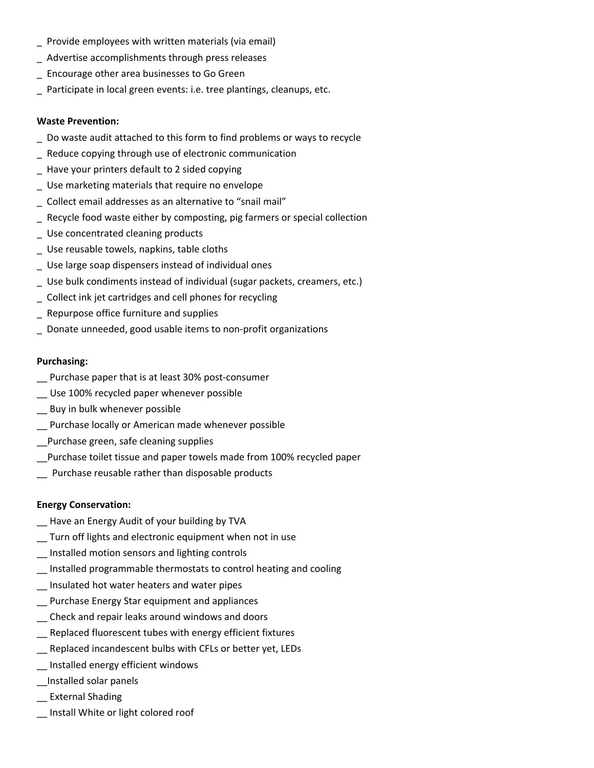- \_ Provide employees with written materials (via email)
- \_ Advertise accomplishments through press releases
- \_ Encourage other area businesses to Go Green
- \_ Participate in local green events: i.e. tree plantings, cleanups, etc.

#### **Waste Prevention:**

- \_ Do waste audit attached to this form to find problems or ways to recycle
- Reduce copying through use of electronic communication
- \_ Have your printers default to 2 sided copying
- \_ Use marketing materials that require no envelope
- \_ Collect email addresses as an alternative to "snail mail"
- \_ Recycle food waste either by composting, pig farmers or special collection
- Use concentrated cleaning products
- \_ Use reusable towels, napkins, table cloths
- \_ Use large soap dispensers instead of individual ones
- \_ Use bulk condiments instead of individual (sugar packets, creamers, etc.)
- \_ Collect ink jet cartridges and cell phones for recycling
- \_ Repurpose office furniture and supplies
- \_ Donate unneeded, good usable items to non‐profit organizations

#### **Purchasing:**

- \_\_ Purchase paper that is at least 30% post‐consumer
- \_\_ Use 100% recycled paper whenever possible
- \_\_ Buy in bulk whenever possible
- \_\_ Purchase locally or American made whenever possible
- \_\_Purchase green, safe cleaning supplies
- \_\_Purchase toilet tissue and paper towels made from 100% recycled paper
- \_\_ Purchase reusable rather than disposable products

## **Energy Conservation:**

- \_\_ Have an Energy Audit of your building by TVA
- \_\_ Turn off lights and electronic equipment when not in use
- \_\_ Installed motion sensors and lighting controls
- \_\_ Installed programmable thermostats to control heating and cooling
- \_\_ Insulated hot water heaters and water pipes
- Purchase Energy Star equipment and appliances
- \_\_ Check and repair leaks around windows and doors
- \_\_ Replaced fluorescent tubes with energy efficient fixtures
- \_\_ Replaced incandescent bulbs with CFLs or better yet, LEDs
- \_\_ Installed energy efficient windows
- \_\_Installed solar panels
- \_\_ External Shading
- \_\_ Install White or light colored roof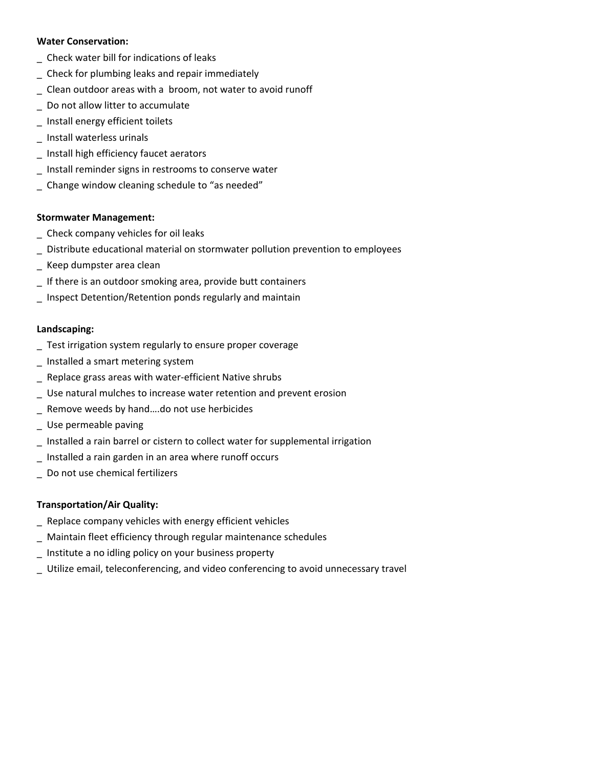#### **Water Conservation:**

- \_ Check water bill for indications of leaks
- \_ Check for plumbing leaks and repair immediately
- \_ Clean outdoor areas with a broom, not water to avoid runoff
- \_ Do not allow litter to accumulate
- \_ Install energy efficient toilets
- \_ Install waterless urinals
- \_ Install high efficiency faucet aerators
- \_ Install reminder signs in restrooms to conserve water
- \_ Change window cleaning schedule to "as needed"

#### **Stormwater Management:**

- \_ Check company vehicles for oil leaks
- \_ Distribute educational material on stormwater pollution prevention to employees
- \_ Keep dumpster area clean
- \_ If there is an outdoor smoking area, provide butt containers
- \_ Inspect Detention/Retention ponds regularly and maintain

#### **Landscaping:**

- \_ Test irrigation system regularly to ensure proper coverage
- \_ Installed a smart metering system
- \_ Replace grass areas with water‐efficient Native shrubs
- \_ Use natural mulches to increase water retention and prevent erosion
- \_ Remove weeds by hand….do not use herbicides
- \_ Use permeable paving
- \_ Installed a rain barrel or cistern to collect water for supplemental irrigation
- \_ Installed a rain garden in an area where runoff occurs
- \_ Do not use chemical fertilizers

## **Transportation/Air Quality:**

- \_ Replace company vehicles with energy efficient vehicles
- \_ Maintain fleet efficiency through regular maintenance schedules
- \_ Institute a no idling policy on your business property
- \_ Utilize email, teleconferencing, and video conferencing to avoid unnecessary travel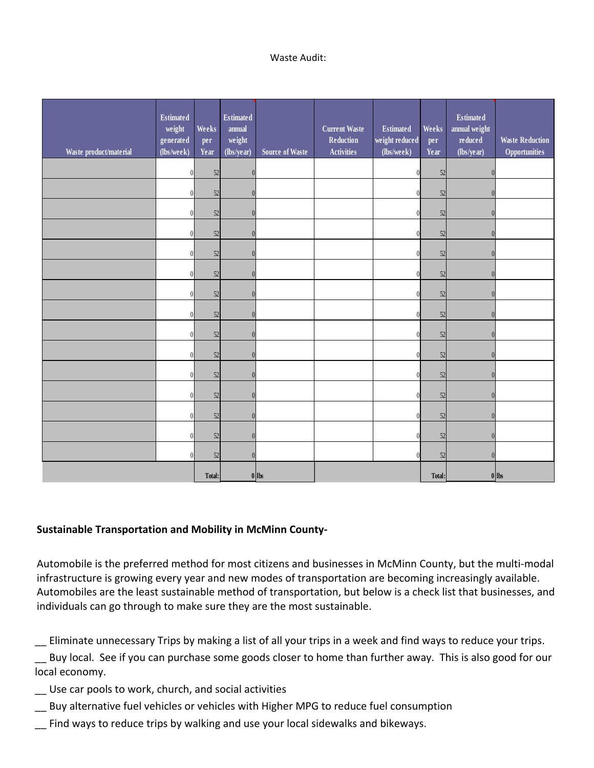### Waste Audit:

| Waste product/material | <b>Estimated</b><br>weight<br>generated<br>(lbs/week) | Weeks<br>per<br>Year | <b>Estimated</b><br>annual<br>weight<br>(lbs/year) | <b>Source of Waste</b> | <b>Current Waste</b><br>Reduction<br><b>Activities</b> | <b>Estimated</b><br>weight reduced<br>(lbs/week) | Weeks<br>per<br>Year | <b>Estimated</b><br>annual weight<br>reduced<br>(lbs/year) | <b>Waste Reduction</b><br><b>Opportunities</b> |
|------------------------|-------------------------------------------------------|----------------------|----------------------------------------------------|------------------------|--------------------------------------------------------|--------------------------------------------------|----------------------|------------------------------------------------------------|------------------------------------------------|
|                        |                                                       | 52                   | ſ                                                  |                        |                                                        | $\theta$                                         | 52                   | $\theta$                                                   |                                                |
|                        |                                                       | 52                   | n                                                  |                        |                                                        | $\Omega$                                         | 52                   | $\sqrt{ }$                                                 |                                                |
|                        |                                                       | 52                   | $\Omega$                                           |                        |                                                        | $\theta$                                         | 52                   | $\theta$                                                   |                                                |
|                        |                                                       | 52                   |                                                    |                        |                                                        | $\Omega$                                         | 52                   | $\sqrt{ }$                                                 |                                                |
|                        |                                                       | 52                   |                                                    |                        |                                                        | $\Omega$                                         | 52                   | $\theta$                                                   |                                                |
|                        |                                                       | 52                   |                                                    |                        |                                                        |                                                  | 52                   | $\sqrt{ }$                                                 |                                                |
|                        |                                                       | 52                   |                                                    |                        |                                                        |                                                  | 52                   | $\theta$                                                   |                                                |
|                        |                                                       | 52                   |                                                    |                        |                                                        | $\theta$                                         | 52                   | $\theta$                                                   |                                                |
|                        |                                                       | 52                   |                                                    |                        |                                                        |                                                  | 52                   | $\theta$                                                   |                                                |
|                        |                                                       | 52                   |                                                    |                        |                                                        | $\theta$                                         | 52                   | $\theta$                                                   |                                                |
|                        |                                                       | 52                   | በ                                                  |                        |                                                        | $\Omega$                                         | 52                   | $\theta$                                                   |                                                |
|                        |                                                       | 52                   | $\sqrt{ }$                                         |                        |                                                        |                                                  | 52                   | $\theta$                                                   |                                                |
|                        |                                                       | $52\,$               | $\sqrt{ }$                                         |                        |                                                        | $\Omega$                                         | 52                   | $\sqrt{ }$                                                 |                                                |
|                        |                                                       | 52                   | $\Omega$                                           |                        |                                                        | $\Omega$                                         | 52                   | $\theta$                                                   |                                                |
|                        |                                                       | 52                   |                                                    |                        |                                                        |                                                  | 52                   | $\sqrt{ }$                                                 |                                                |
|                        |                                                       | Total:               |                                                    | $0$  lbs               |                                                        |                                                  | Total:               |                                                            | $0$ lbs                                        |

## **Sustainable Transportation and Mobility in McMinn County‐**

Automobile is the preferred method for most citizens and businesses in McMinn County, but the multi‐modal infrastructure is growing every year and new modes of transportation are becoming increasingly available. Automobiles are the least sustainable method of transportation, but below is a check list that businesses, and individuals can go through to make sure they are the most sustainable.

\_\_ Eliminate unnecessary Trips by making a list of all your trips in a week and find ways to reduce your trips.

\_\_ Buy local. See if you can purchase some goods closer to home than further away. This is also good for our local economy.

- \_\_ Use car pools to work, church, and social activities
- Buy alternative fuel vehicles or vehicles with Higher MPG to reduce fuel consumption
- Find ways to reduce trips by walking and use your local sidewalks and bikeways.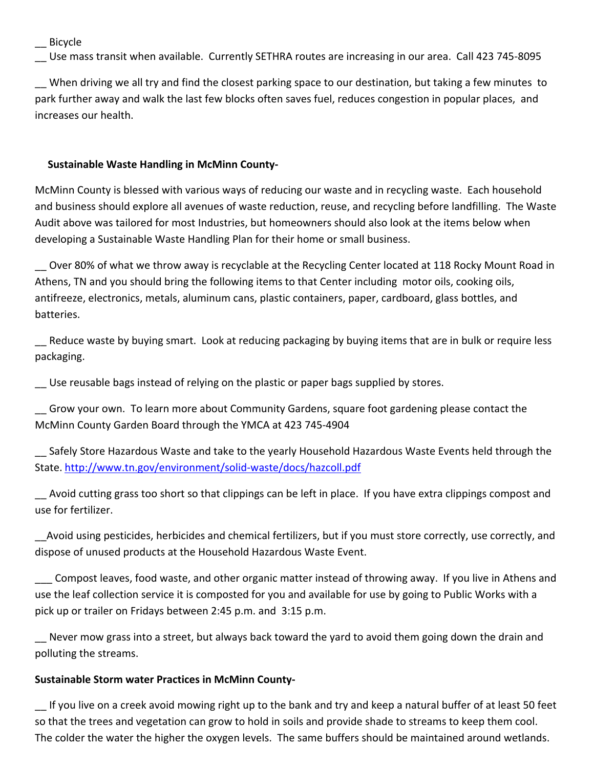\_\_ Bicycle

\_\_ Use mass transit when available. Currently SETHRA routes are increasing in our area. Call 423 745‐8095

\_\_ When driving we all try and find the closest parking space to our destination, but taking a few minutes to park further away and walk the last few blocks often saves fuel, reduces congestion in popular places, and increases our health. 4

## 74 **Sustainable Waste Handling in McMinn County‐**

McMinn County is blessed with various ways of reducing our waste and in recycling waste. Each household and business should explore all avenues of waste reduction, reuse, and recycling before landfilling. The Waste Audit above was tailored for most Industries, but homeowners should also look at the items below when developing a Sustainable Waste Handling Plan for their home or small business.

\_\_ Over 80% of what we throw away is recyclable at the Recycling Center located at 118 Rocky Mount Road in Athens, TN and you should bring the following items to that Center including motor oils, cooking oils, antifreeze, electronics, metals, aluminum cans, plastic containers, paper, cardboard, glass bottles, and batteries.

Reduce waste by buying smart. Look at reducing packaging by buying items that are in bulk or require less packaging.

Use reusable bags instead of relying on the plastic or paper bags supplied by stores.

\_\_ Grow your own. To learn more about Community Gardens, square foot gardening please contact the McMinn County Garden Board through the YMCA at 423 745‐4904

\_\_ Safely Store Hazardous Waste and take to the yearly Household Hazardous Waste Events held through the State. http://www.tn.gov/environment/solid‐waste/docs/hazcoll.pdf

\_\_ Avoid cutting grass too short so that clippings can be left in place. If you have extra clippings compost and use for fertilizer.

\_\_Avoid using pesticides, herbicides and chemical fertilizers, but if you must store correctly, use correctly, and dispose of unused products at the Household Hazardous Waste Event.

\_\_\_ Compost leaves, food waste, and other organic matter instead of throwing away. If you live in Athens and use the leaf collection service it is composted for you and available for use by going to Public Works with a pick up or trailer on Fridays between 2:45 p.m. and 3:15 p.m.

Never mow grass into a street, but always back toward the yard to avoid them going down the drain and polluting the streams.

## **Sustainable Storm water Practices in McMinn County‐**

If you live on a creek avoid mowing right up to the bank and try and keep a natural buffer of at least 50 feet so that the trees and vegetation can grow to hold in soils and provide shade to streams to keep them cool. The colder the water the higher the oxygen levels. The same buffers should be maintained around wetlands.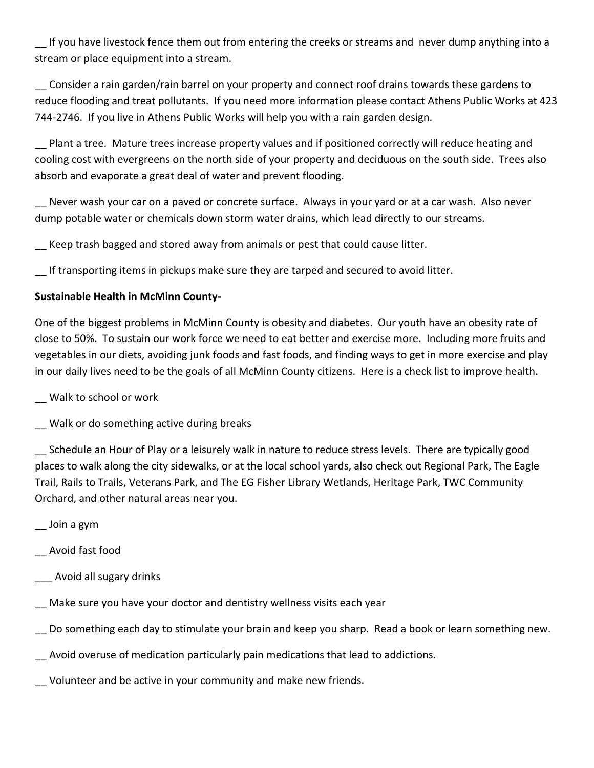If you have livestock fence them out from entering the creeks or streams and never dump anything into a stream or place equipment into a stream.

\_\_ Consider a rain garden/rain barrel on your property and connect roof drains towards these gardens to reduce flooding and treat pollutants. If you need more information please contact Athens Public Works at 423 744‐2746. If you live in Athens Public Works will help you with a rain garden design.

Plant a tree. Mature trees increase property values and if positioned correctly will reduce heating and cooling cost with evergreens on the north side of your property and deciduous on the south side. Trees also absorb and evaporate a great deal of water and prevent flooding.

Never wash your car on a paved or concrete surface. Always in your yard or at a car wash. Also never dump potable water or chemicals down storm water drains, which lead directly to our streams.

Keep trash bagged and stored away from animals or pest that could cause litter.

\_\_ If transporting items in pickups make sure they are tarped and secured to avoid litter.

## **Sustainable Health in McMinn County‐**

One of the biggest problems in McMinn County is obesity and diabetes. Our youth have an obesity rate of close to 50%. To sustain our work force we need to eat better and exercise more. Including more fruits and vegetables in our diets, avoiding junk foods and fast foods, and finding ways to get in more exercise and play in our daily lives need to be the goals of all McMinn County citizens. Here is a check list to improve health.

\_\_ Walk to school or work

\_\_ Walk or do something active during breaks

Schedule an Hour of Play or a leisurely walk in nature to reduce stress levels. There are typically good places to walk along the city sidewalks, or at the local school yards, also check out Regional Park, The Eagle Trail, Rails to Trails, Veterans Park, and The EG Fisher Library Wetlands, Heritage Park, TWC Community Orchard, and other natural areas near you.

\_\_ Join a gym

\_\_ Avoid fast food

\_\_\_ Avoid all sugary drinks

Make sure you have your doctor and dentistry wellness visits each year

\_\_ Do something each day to stimulate your brain and keep you sharp. Read a book or learn something new.

Avoid overuse of medication particularly pain medications that lead to addictions.

\_\_ Volunteer and be active in your community and make new friends.